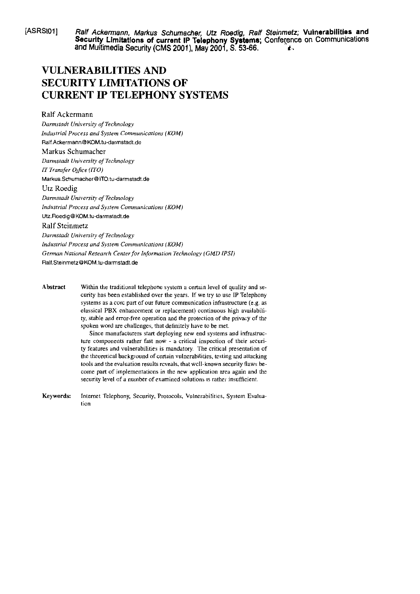**[ASRSiO1l Ralf Ackermann, Markus Schumacher, utz Roedig, Rslf Steinmetz; Vulnerabllities and Security Limitations of current IP Telephony Systems; Conference on Communications and Multimedia Security (CMS 2001), May 2001. S. 53-66. t.** 

# **VULNERABILITIES AND SECURITY LIMITATIONS OF CURRENT IF' TELEPHONY SYSTEMS**

#### Ralf Ackermann

*Durmsradt Universiry of Technology Indusrrial Process md System Communications (KOM)*   $Ralf.Ackermann@KOM.tu-darmstadt.de$ Markus Schumacher *Darnistadr Unirersiiy of Technology IT Transfer Olfice (ITO)*  **Markus.Schurnacher@ITO.tu-darrnstadt.de**  Utz Roedig *Darmstadt University of Technology Industrial Process and System Communications (KOM)* Utz.Roedig@KOM.tu-darmstadt.de Ralf Steinmetz *Darmstadt University of Technology Industrial Process and System Communications (KOM)* **German** *National Resean-h Center for Inforniarion Technoloyy* **(GMD** *IPSI)*  **Ralf.Steinrnetz@KOM.tu-darrnstadt.de** 

Abstract Within the traditional telephone system a certain level of quality and security has been established over the years. If we try to use IF'Telephony systems as a corc part of our future communication infrastructure (e.g. as elassical PBX enhancement or replacement) continuous high availability, stable and error-free operation and the protection of the privacy of the spoken word are challenges, that definitely have tobe met.

> Since manufacturers start deploying new end systems and infrastructure components rather fast now - a critical inspection of their security features and vulnerabilities is mandatory. The critical presentation of the theoretical background of certain vulnerabilities, testing and attacking tools and the evaluation results rcveals, that wcll-known securily flaws become part of implemenrations in the new application area again and **die**  security level of a number of examined solutions is rather insufficient.

Keywords: Internet Telephony, Security, Protocols, Vulnerabilities, System Evaluation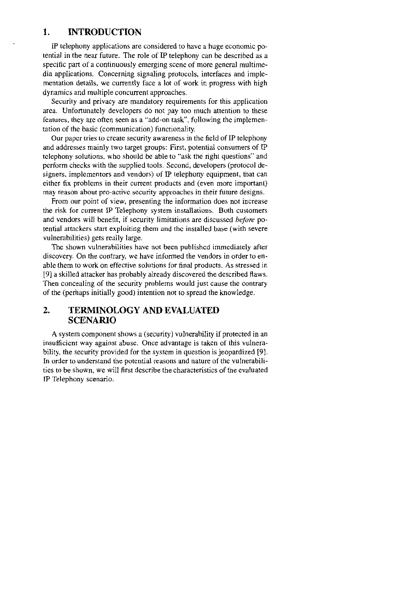### **1. INTRODUCTION**

IP telephony applications are considered to have a huge economic potential in the near future. The role of **LP** telephony can be described as a specific part of a continuously emerging scene of more general multimedia applications. Concerning signaling protocols, interfaces and implementation details, we currently face a lot of work in progress with high dynamics and multiple concurrent approaches.

Security and privacy are mandatory requirements for this application area. Unfortunately developers do not pay too much attention to these features, they are often seen as a "add-on task", following the implementation of the basic (communication) functionality.

Our paper tries to create security awareness in the field of IP telephony and addresses mainly two target groups: First, potential consumers of IP telephony solutions, who should be able to "ask the right questions" and perform checks with the supplied tools. Second, developers (protocol designers, implementors and vendors) of IP telephony equipment, that can either **fix** problems in their current products and (even more important) may reason about pro-activc security approaches in their future designs.

From our point of view, presenting the information does not increase the risk for current IP Telephony system installations. Both customers and vendors will benefit. if security limitations are discussed *before* potential attackers start exploiting them and the installed base (with severe vulnerabilities) gets really large.

The shown vulnerabilities have not been published immediately after discovery. On the contrary, we have informed the vendors in order to enable them to work on effective solutions for final products. As stressed in [9] a skilled attacker has probably already discovered the described flaws. Then concealing of the security problems would just cause the contrary of the (perhaps initially good) intention not to spread the knowledge.

## **2. TERMINOLOGY AND EVALUATED SCENARIO**

**A** system component shows a (security) vulnerability if protected in an insufficicnt way against abuse. Once advantage is taken of this vulnerability, the security provided for the system in question is jeopardized [9]. In order to understand the potential reasons and nature of the vulnerabilities to be shown, we will first descrihe the characteristics of the evaluated **iP** Telephony scenario.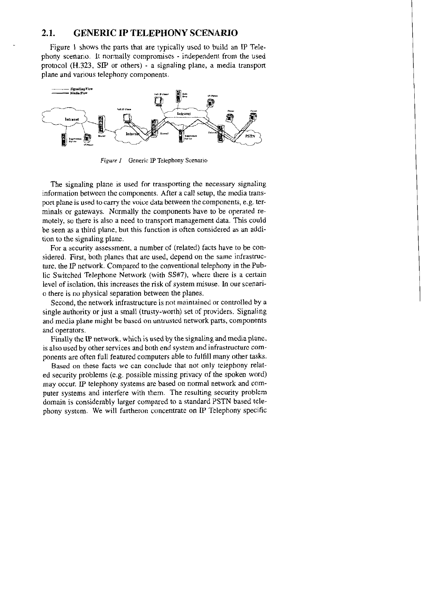### **2.1. GENERIC IP TELEPHONY SCENARIO**

Figure I shows the parts that are typically used to build an 1P Telephony scenario. lt normally compromises - independent from the used protocol **(H.323,** SIP or others) - a signaling plane, a media transpon plane and various telephony components.



*Figure 1* Generic IP Telephony Scenario

The signaling plane is used for transporting the necessary signaling information between the components. After a call setup, the media transport plane is used to carry the voice data between the components, e.g. terminals or gateways. Normally the components have to be operated remotely, so there is also a need to transport management data. This could be seen as a third plane, but this function is oftcn considered as an addition to the signaling plane.

For a security assessment. a number of (related) facts have to be considered. First, both planes that are used, depend on the same infrastructure, the IP network. Compared to the conventional telephony in the Public Switched Telephone Network (with SS#7), where there is a certain level of isolation, this increases the risk of system misuse. In our scenario there is no physical Separation between the planes.

Second, the network infrastructure is not maintained or controlled by **a**  single authority or just a small (trusty-worth) set of providers. Signaling and media plane might be bascd on untrusted network parts. components and Operators.

Finally the **IP** network. which is used by the signaling and media plane. is also used by other services and both end system and infrastructurc components are often full featured Computers able to fulfill many other tasks.

Based on these facts we can conclude that not only telephony related security problems (e.g. possible missing privacy of the spoken word) may occur. IP telephony systems are based on normal network and computer systems and interfere with them. The resulting security problem domain is considerably larger compared to a standard PSTN based telephony system. We will furtheron concentrate on IP Telephony specific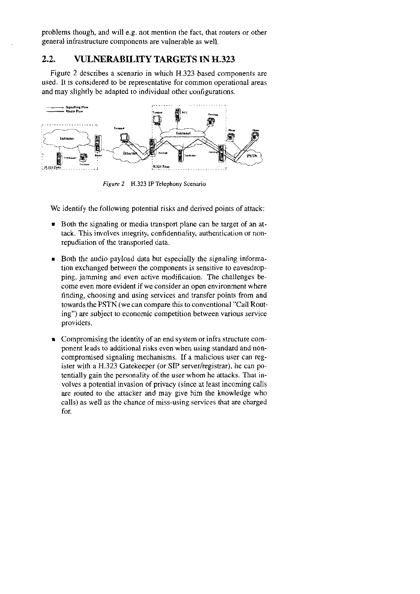prohlems though, and will e.g. not mention the fact, that routers or other general infrastructure components are vulnerable as well.

## **2.2. VULNERABILITY TARGETS IN H.323**

Figure 2 describes a scenario in which H.323 based components are used. It is considered to be representative for common operational areas and may slightly be adapted to individual other configurations.



*Figure* **2 H.323** IP **Telephony Scenario** 

We identify the following potential risks and derived points of attack:

- **Both the signaling or media transport plane can be target of an at**tack. This involves integrity, confidentiality, authentication or nonrepudiation of the transported data.
- **Both the audio payload data but especially the signaling informa**tion exchanged between the components is sensitive to eavesdropping. jamming and even active modificaiion. The challenges become even more evident if we consider an Open environment where finding, choosing and using services and transfer points from and towards the PSTN (we can compare this to conventional "Call Routing") are subject to economic competition between various service providers.
- **i** Compromising the identity of an end sy stem or infra structure component leads to additional risks even wlien using standard and noncompromised signaling mechanisms. If a malicious user can register with a H.323 Gatekeeper (or SIP server/registrar), he can potentially gain the personality of the user whom he attacks. That involves a potential invasion of privacy (since at least incoming calls are routed to lhe attacker and may give him the knowledge who calls) as well as the chance of miss-using services that are charged for.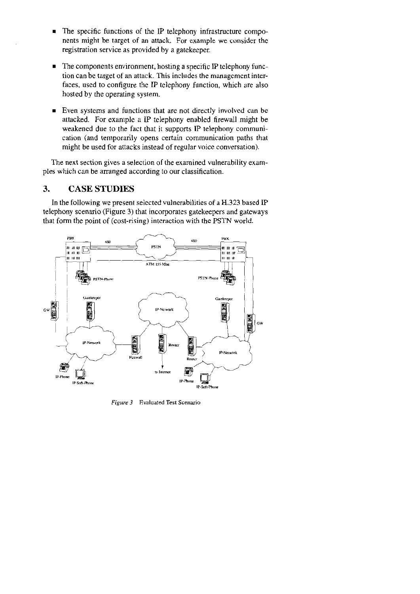- **II** The specific functions of the IP telephony infrastructure components might be target of an attack. For example we consider the registration service as provided by a gatekeeper.
- **I** The components environment, hosting a specific IP telephony function can be target of an attack. This includes the managcmcnt interfaces, used to configure the IP telephony function, which are also hosted by the operating system.
- **Even systems and functions that are not directly involved can be** attacked. For example a IP telephony enabled firewall might be weakened due to the fact that it supports IP telephony communication (and temporarily Opens certain communication paths that might be used for attacks instead of regular voice conversation).

The next section gives a selection of the examined vulnerability examples which can be arranged according to our classification.

## **3. CASE STUDIES**

In the following we present selected vulnerabilities of a **H.323** bascd IP telephony scenario (Figure **3)** that incorporates gatekeepers and gateways that form the point of (cost-rising) interaction with the PSTN world.



*Figirre 3* **Evaluared Test** Scenario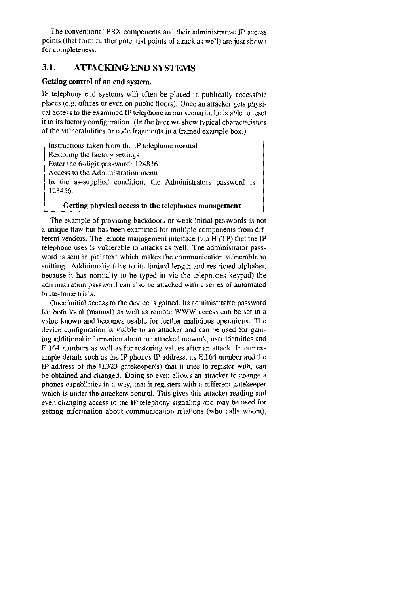The conventional PBX components and their administrative IP access points (that form further potential points of attack as well) are just shown for completeness.

## **3.1. ATTACKING END SYSTEMS**

### Getting control of an end System.

IP telephony end Systems will often be placed in publically accessihle places (e.g. offices or even on public floors). Once an attacker gets physical access to the examined IP telephone in our scenario, he is able to reset it to its factory configuration. (In the later we show typical characteristics of the vulnerabilities or code fragments in a framed example box.)

Instructions taken from the IP telephone manual Restoring the factory settings Enter the 6-digit password: 124816 Access to the Administration menu In the as-supplied cundition, the Administrators password is 123456.

#### Getting physical access to the telephones management

The example of providing backdoors or weak initial passwords is not a unique flaw hut has been examined for multiple components from different vendors. The remote management interface (via HTTP) that the IP telephone uses is vulnerable io auacks as well. The administrator password is sent in plaintext which makes the communication vulnerable to sniffing. Additionally (due to its limited length and restricted alphabet, because it has normally to be typed in via the telephones keypad) the administration password can also be attacked with a series of automated hrute-force trials.

Once initial access to the device is gained, its administrative password for both local (manual) as well as remote WWW access can be set to a value known and becomes usable for further malicious operations. The device configuration is visible to an attacker and can be used for gaining additional information about the attacked network, user identities and E.164 numbers as well as for restoring values after an attack. In our example details such as rhe IP phones IP address, its E.164 number and the IP address of the H.323 gatekeeper(s) thai ii tries to register with, can be obtained and changed. Doing so even allows an attacker to change a phones capabilities in a way, that it registers with a different gatekeeper which is under the attackers control. This gives this attacker reading and even changing access to the IP telephony signaling and may be used for getting information about communication relations (who calls whom),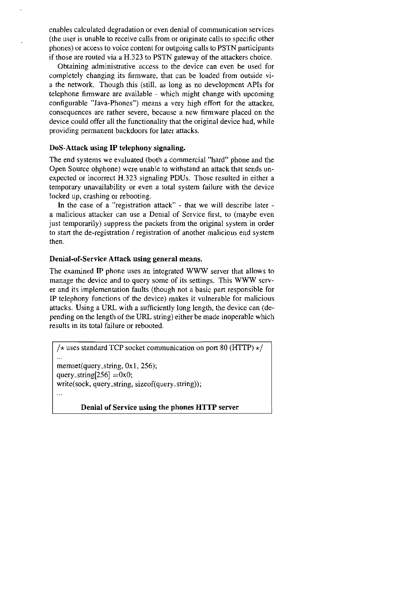enables calculated degradation or even denial of communication services (the User is unable to receive calls from or originate calls to specific other phones) or access to voice content for outgoing calls to PSTN participants if those are routed via a H.323 to PSTN gateway of the attackers choice.

Obtaining administrative access to the device can even be used for completely changing its firmware, that can be loaded from outside via the network. Though this (still. as long as no development APIs for telephone firmware are available - which might change with upcoming configurable "Java-Phones") means a very high effon for the attacker, consequences are rather severe, because a new firmware placed on the device could offer all the functionality that the original device had, while providing permanent backdoors for later attacks.

### **DOS-Attack using IP telephony signaling.**

The end Systems we evaluated (both a commercial "hard" phone and the Open Source ohphone) were unable to withstand an attack that sends unexpected or incorrect H.323 signaling PDUs. Those resulted in either a temporary unavailability or even a total system failure with the device locked up, crashing or rebooting.

In the case of a "registration attack" - that we will describe later a malicious attacker can use a Denial of Service first. to (maybe even just temporarily) suppress the packets from the original system in order to start the de-registration / registration of another malicious end system then.

### **Denial-of-Service Attack using general means.**

The examined IP phone uses an integrated **WWW** server that allows to manage the device and to query some of its settings. This **WWW** server and its implementation faults (though not a basic part responsible for IP telephony functions of the device) makes it vulnerable for malicious attacks. Using a URL with a sufficiently long length, the device can (depending on the length of the URL string) either be made inoperable which results in its total failure or rebooted.

```
/\star uses standard TCP socket communication on port 80 (HTTP) \star/
memset(query_string, 0x1, 256);
query_string[256] = 0x0;
write(sock, query_string, sizeof(query_string));
\ddotsc
```
Denial of Service using the phones HTTP server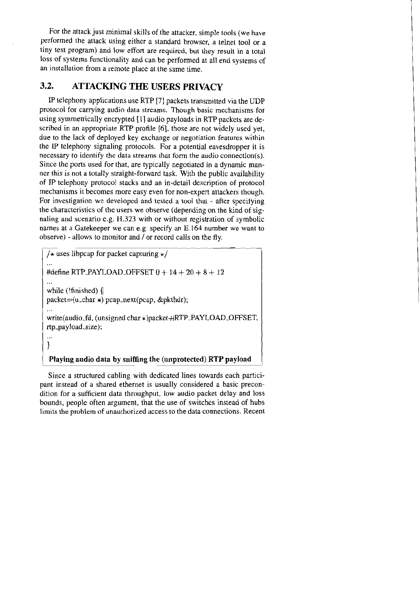For the attack just minimal skills of the attacker, simple tools (we have pcrformed the attack using either a standard browser, a telnet tool or a tiny test program) and low effon are requircd, but they result in a total loss of systems functionality and can be performed at all end systems of an installation from a rernote place at the Same time.

## **3.2. ATTACKING THE USERS PRIVACY**

IP telephony applications use RTP [7] packets transmitted via the UDP protocol for carrying audio data streams. Though basic mechanisms for using symrnetrically encrypted [I] audio payloads in RTP packets are described in an appropriate RTP profile [6], those are not widely used yet, due to the lack of deployed key exchange or negotiation features within the [P telephony signaling protocols. For a potential eavesdropper it is necessary to identify the data streams that form the audio connection(s). Since the ports used for that, are typically negotiated in a dynamic manner this is not a totally straight-forward task. With the public availability of IP telephony protocol stacks and an in-detail description of protocol mechanisms it becomes more easy even for non-expert attackers though. For investigation we developed and tested a tool that - after specifying the characteristics of the users we observe (depending on the kind of signaling and scenario e.g. **H.323** with or without registration of symbolic namec at **a** Gatekeeper we can e.g. specify an E.164 number we Want to observe) - allows to monitor and  $\ell$  or record calls on the fly. sing symmetrically encity<br>lead in an appropriate RTP profile [6], those are not widely used yet,<br>critical in an appropriate RTP profile [6], those are not widely used yet,<br>ue to the lack of deployed key exchange or negoti

```
while (!finished) {
packet=(u_char r) pcap.next(pcap, &pkthdr); 
... 
write(audio_fd. (unsigned char *)packet+IRTP_PAYLOAD_OFFSET,
rtp-payload-size): 
\ddot{\phantom{a}}\mathcal{F}Playing audio data by sniffing the (unprotected) RTP payload
```
Since a structured cabling with dedicated lines towards each participant instead of a shared ethernet is usually considered a basic precondition for a sufficient data throughput, low audio packet delay and loss bounds, people often argument, that the use of switches instead of hubs limits the problem of unauthorized access to the data connections. Recent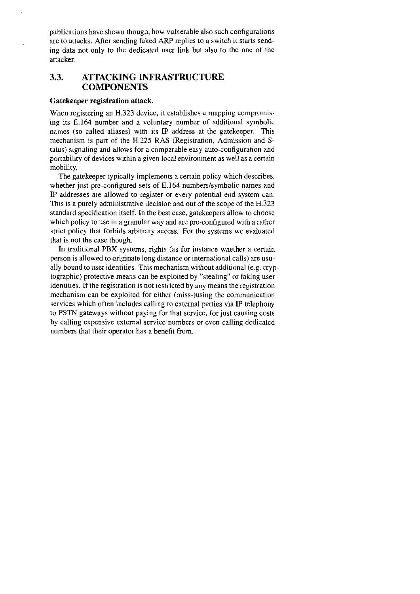publications have shown though, how vulnerable also such configurations are to attacks. After sending faked ARP replies to a switch it starts sending data not only to the dedicated User link but also to the one of the attacker.

## **3.3. ATTACKING INFRASTRUCTURE COMPONENTS**

### **Gatekeeper registration attack.**

When registering an H.323 device, it establishes a mapping compromising its E.164 number and a voluntary number of additional symbolic names (so called aliases) with its IP address at the gatekeeper. This mechanism is part of the H.225 RAS (Registration, Admission and *S*tatus) signaling and allows for a comparable easy auto-configuration and portability of devices within a given local environment as well as a certain mobility.

The gatekeeper typically implements a certain policy which describes, whether just pre-configured sets of E.164 numbers/symbolic names and IP addresses are allowed to register or every potential end-system can. This is a purely administrative decision and out of the scope of the H.323 standard specification itself. In the best case, gatekeepers allow to choose which policy to use in a granular way and are pre-configured with a rather strict policy that forbids arbitrary access. For the systems we evaluated that is not the case though.

In traditional PBX systems, rights (as for instance whether a certain Person is allowed to originate long distance or international calls) are usually bound to user identities. This mechanism without additional (e.g. cryptographic) protective means can be exploited by "stealing" or faking user identities. If the registration is not restricted by any means the registration mechanism can be exploited for either (miss-)using the communication services which often includes calling to external parties via IP telephony to PSTN gateways without paying for that service, for just causing costs by calling expensive external service numbers or even calling dedicated numbers that their Operator has a benefit from.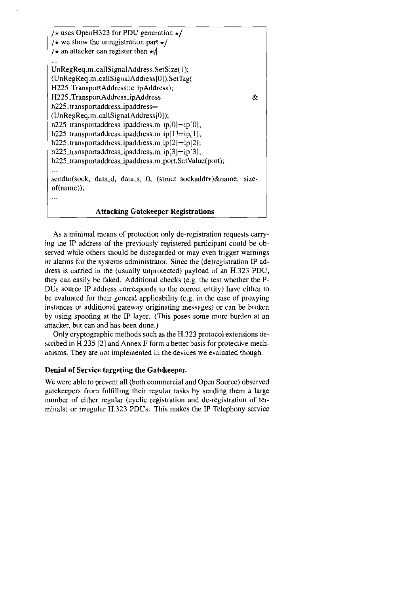| $/\star$ uses OpenH323 for PDU generation $\star$ /            |  |
|----------------------------------------------------------------|--|
| / $\star$ we show the unregistration part $\star$ /            |  |
| $/\star$ an attacker can register then $\star$ /               |  |
|                                                                |  |
| $UnRegReq.m\_callSignalAddressSetSize(1);$                     |  |
| (UnRegReq.m_callSignalAddress[0]).SetTag(                      |  |
| H225_TransportAddress::e_ipAddress);                           |  |
| H225_TransportAddress_ipAddress<br>ĸ.                          |  |
| h225_transportaddress_ipaddress=                               |  |
| (UnRegReq.m_callSignalAddress[0]);                             |  |
| $h225$ _transportaddress_ipaddress.m_ip $[0]$ =ip $[0]$ ;      |  |
| $h225$ _transportaddress_ipaddress.m_ip $[1] = ip[1]$ ;        |  |
| $h225$ _transportaddress_ipaddress.m_ip $[2] = ip[2]$ ;        |  |
| $h225$ _transportaddress_ipaddress.m_ip $[3] = ip[3]$ ;        |  |
| h225_transportaddress_ipaddress.m_port.SetValue(port);         |  |
|                                                                |  |
| sendto(sock, data_d, data_s, 0, (struct sockaddr*)&name, size- |  |
| of(name);                                                      |  |
|                                                                |  |
|                                                                |  |
| <b>Attacking Gatekeeper Registrations</b>                      |  |

As a minimal means of protection only de-registration requests carrying the IP address of the previously registered participant could be observed while others should be disregarded or may even trigger warnings or alarms for the Systems administrator Since the (de)registration IP address is carried in the (usually unprotected) payload of an H.323 PDU, they can easily be faked. Additional checks (e.g. the test whether the P-DUs source IP address corresponds to the correct entity) have either to be evaluated for their general applicability (e.g. in the case of proxying instances or additional gateway originating messages) or can be broken by using spoofing at the IP layer. (This poses some more burden at an attacker, but can and has been done.)

Only cryptographic rnethods such as the H.323 protocol extensions described in  $H.235$  [2] and Annex F form a better basis for protective mechanisms. They are not implemented in the devices we evaluated though.

### **Denial of Service targeting the Gatekeeper.**

We were able to prevent all (both comrnercial and Open Source) observed gatekeepers from fulfilling their regular tasks by sending them a large number of either regular (cyclic registration and de-registration of terminals) or irregular H.323 PDUs. This makes the IP Telephony service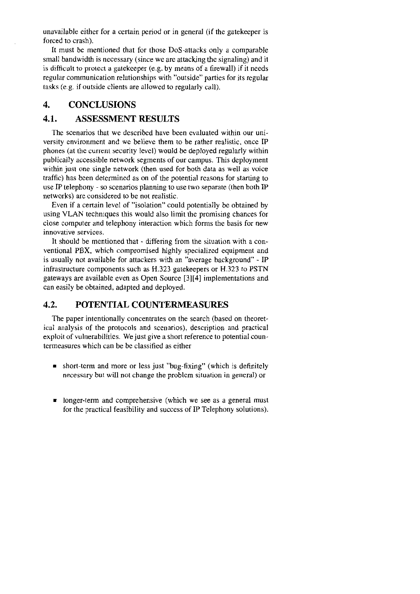unavailable either for a certain period or in general (if the gatekeeper is forced to crash).

It must be mentioned that for those DOS-attacks only a comparable small bandwidth is necessary (since we are attacking the signaling) and it is difficult to protect a gatekeeper (e.g. by means of a firewall) if it needs regular communication relationships with "outside" parties for its regular tasks (eg. if outside clients are allowcd to regularly call).

## **4. CONCLUSIONS**

## **4.1. ASSESSMENT RESULTS**

The scenarios that we described have been evaluated within our university environment and we believe them to be rather realistic, once IP phones (at the current security level) would be deployed regularly within publically accessible network segments of our campus. This deployment within just one single network (then used for both data as well as voice traffic) has been determined as on of the potential reasons for starting to use IP telephony - so scenarios planning to use two separate (then both IP networks) are considered to be not realistic.

Even if a certain level of "isolation" could potentially be obtained by using VLAN techniques this would also limit the promising chances for close Computer and telephony interaction which forms the basis for new innovative services.

It should be mentioned that - differing from the situation with a conventional PBX, which compromised highly specializcd equipment and is usually not available for attackers with an "average background" - IP infrastructure components such **as** H.323 gatekeepers or H.323 to PSTN gateways are availahle even as Open Source **[31[4]** implementations and can easily be obtained, adapted and deployed.

## **4.2. POTENTIAL COUNTERMEASURES**

The paper intentionally concentrates on the search (based on theoretical analysis of the protocols and scenarios), description and practical exploit of vulnerabilities. We just give a short reference to potential countermeasures which can be be classified as either

- short-term and more or less just "bug-fixing" (which is definitely necessary but will not change the problem situation in general) or
- **m** longer-term and comprehensive (which we see as a general must for the practical feasibility and success of **LP** Telephony solutions).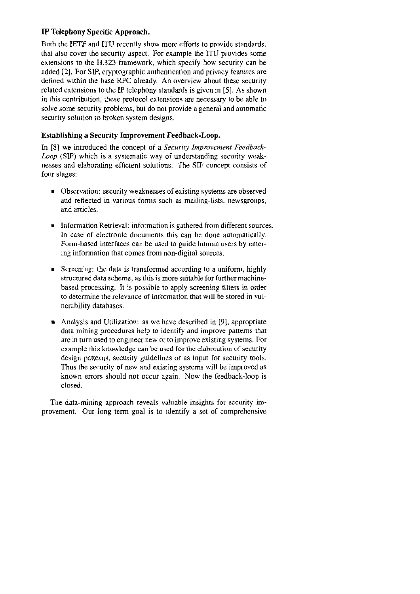### **IP Telephony Specific Approach.**

Both ihe IETF and ITU recently show more effons to provide standards. that also Cover the security aspect. For example the ITU provides some extensions to the **H.323** framework, which specify how security can be added **[2].** For SIP, cryptographic authentication and privacy features are dehned within the base KFC already. An overview about these security related extensions to the IP telephony standards is given in **[5].** As shown in this contribution, these protocol extensions are necessary to be able to solve some security prohlems, but do not provide a general and automatic security solution to broken system designs.

### **Eslablishing a Security Improvement Feedback-Loop.**

In [8] we introduced the concept of a *Security lmprovement Feedback-Loop* **(SIF)** which is a systematic way of understanding security weaknesses and elaborating efficient solutions. The **SIF** concept consists of four stages:

- **i** Observation: security weaknesses of existing systems are observed and reflected in various forms such as mailing-lists, newsgroups, and articles.
- **EXECUTE:** Information Retrieval: information is gathered from different sources. In case of electronic documents this can be done automatically. Form-based interfaces can be used to guide human users by entering information that Comes from non-digital sources.
- **EXECUTE:** Screening: the data is transformed according to a uniform, highly structured data scheme, as this is more suitable for further machinebased processing. It is possible to apply screening filters in order to determine the relevance of information that will be stored in vulnerability databases.
- **manalysis and Utilization: as we have described in [9], appropriate** data mining procedures help to identify and improve patterns that are in turn used to engineer new or to improve existing systems. For example this knowledge can be used for the elaboration of security design patterns, security guidelines or as input for security tools. Thus the security of new and existing systems will be improved as known errors should not occur again. Now the feedback-loop is closed.

The data-mining approach reveals valuable insights for security improvement. Our long term goal is to identify a Set of comprehensive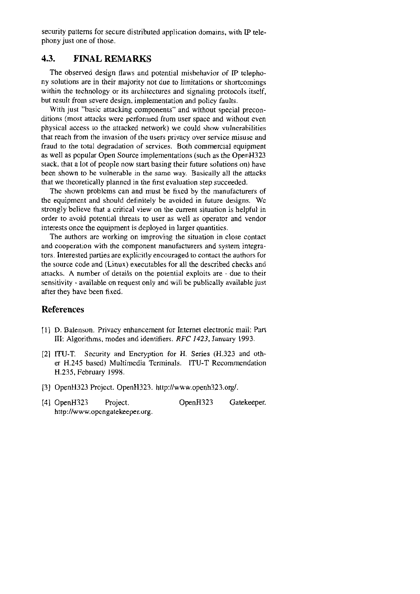security patterns for secure distributed application domains, with IP telephony just one of those.

### **4.3. FINAL REMARKS**

The observed design flaws and potential misbehavior of IP telephony solutions are in their majority not due to limitations or shortcomings within the technology or its architectures and signaling protocols itself, but result from severe design. implementation and policy faults.

With just "basic attacking components" and without special preconditions (most attacks werc pcrformed from User space and without even physical access to the attacked network) we could show vulnerabilities that reach from the invasion of the Users privacy over service misuse and fraud to the total degradation of services. Both commercial equipment as well as popular Open Source implementations (such as the OpenH323 siack, that a lot of people now Start basing their future solutions on) have been shown to be vulnerable in the same way. Basically all the attacks that we theoretically planned in the first evaluation step succeeded.

The shown problems can and must be fixed by the manufacturers of the equipment and should definitely be avoided in future designs. We strongly believe that a critical view on the current situation is helpful in order to avoid potential threats to user as well as Operator and vendor interests once the equipment is deployed in larger quantities.

The authors are working on improving the situation in close contact and cooperation with the component manufacturers and system integrators. Interested parties are explicitly encouraged to contact the authors for the source code and (Linux) executables for all the described checks and attacks. A number of details on the potential exploits are - due to their sensitivity - available on request only and will be publically availablc just after they have been fixed.

## **References**

- [I] D. Balcnson. Privacy enhancement for Internet electronic mail: Part III: Algorithms, modes and identifiers. RFC 1423, January 1993.
- [2] ITU-T. Security and Encryption for H. Series (H.323 and other H.245 based) Multimedia Terminals. ITU-T Recommendation H.235, February 1998.
- [3] OpenH323 Project. OpenH323. http://www.openh323.org/.
- 141 OpenH323 Project. OpenH323 Gatekeeper. http://www.opengatekeeper.org.